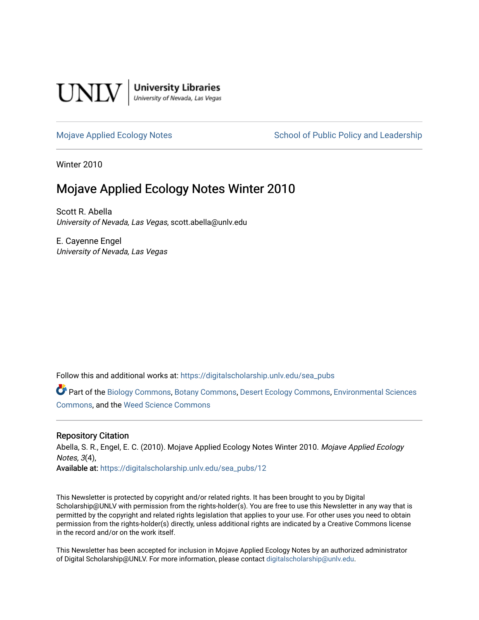

**University Libraries**<br>University of Nevada, Las Vegas

[Mojave Applied Ecology Notes](https://digitalscholarship.unlv.edu/sea_pubs) School of Public Policy and Leadership

Winter 2010

# Mojave Applied Ecology Notes Winter 2010

Scott R. Abella University of Nevada, Las Vegas, scott.abella@unlv.edu

E. Cayenne Engel University of Nevada, Las Vegas

Follow this and additional works at: [https://digitalscholarship.unlv.edu/sea\\_pubs](https://digitalscholarship.unlv.edu/sea_pubs?utm_source=digitalscholarship.unlv.edu%2Fsea_pubs%2F12&utm_medium=PDF&utm_campaign=PDFCoverPages) 

Part of the [Biology Commons,](http://network.bepress.com/hgg/discipline/41?utm_source=digitalscholarship.unlv.edu%2Fsea_pubs%2F12&utm_medium=PDF&utm_campaign=PDFCoverPages) [Botany Commons,](http://network.bepress.com/hgg/discipline/104?utm_source=digitalscholarship.unlv.edu%2Fsea_pubs%2F12&utm_medium=PDF&utm_campaign=PDFCoverPages) [Desert Ecology Commons](http://network.bepress.com/hgg/discipline/1261?utm_source=digitalscholarship.unlv.edu%2Fsea_pubs%2F12&utm_medium=PDF&utm_campaign=PDFCoverPages), [Environmental Sciences](http://network.bepress.com/hgg/discipline/167?utm_source=digitalscholarship.unlv.edu%2Fsea_pubs%2F12&utm_medium=PDF&utm_campaign=PDFCoverPages)  [Commons](http://network.bepress.com/hgg/discipline/167?utm_source=digitalscholarship.unlv.edu%2Fsea_pubs%2F12&utm_medium=PDF&utm_campaign=PDFCoverPages), and the [Weed Science Commons](http://network.bepress.com/hgg/discipline/1267?utm_source=digitalscholarship.unlv.edu%2Fsea_pubs%2F12&utm_medium=PDF&utm_campaign=PDFCoverPages)

#### Repository Citation

Abella, S. R., Engel, E. C. (2010). Mojave Applied Ecology Notes Winter 2010. Mojave Applied Ecology Notes, 3(4), Available at: [https://digitalscholarship.unlv.edu/sea\\_pubs/12](https://digitalscholarship.unlv.edu/sea_pubs/12) 

This Newsletter is protected by copyright and/or related rights. It has been brought to you by Digital Scholarship@UNLV with permission from the rights-holder(s). You are free to use this Newsletter in any way that is permitted by the copyright and related rights legislation that applies to your use. For other uses you need to obtain permission from the rights-holder(s) directly, unless additional rights are indicated by a Creative Commons license in the record and/or on the work itself.

This Newsletter has been accepted for inclusion in Mojave Applied Ecology Notes by an authorized administrator of Digital Scholarship@UNLV. For more information, please contact [digitalscholarship@unlv.edu.](mailto:digitalscholarship@unlv.edu)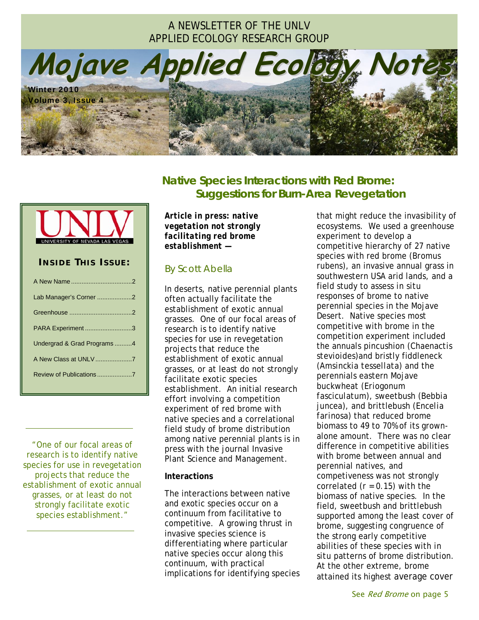## A NEWSLETTER OF THE UNLV APPLIED ECOLOGY RESEARCH GROUP

**Mojave Applied Ecology Notes** Winter 2010 Volume 3, Issue 4



| <b>INSIDE THIS ISSUE:</b>   |
|-----------------------------|
|                             |
| Lab Manager's Corner 2      |
|                             |
| PARA Experiment 3           |
| Undergrad & Grad Programs 4 |
|                             |
|                             |
|                             |

*"*One of our focal areas of research is to identify native species for use in revegetation projects that reduce the establishment of exotic annual grasses, or at least do not strongly facilitate exotic species establishment*."* 

 *.*

 *.*

**Native Species Interactions with Red Brome: Suggestions for Burn-Area Revegetation**

*Article in press: native vegetation not strongly facilitating red brome establishment* **—** 

### By Scott Abella

In deserts, native perennial plants often actually facilitate the establishment of exotic annual grasses. One of our focal areas of research is to identify native species for use in revegetation projects that reduce the establishment of exotic annual grasses, or at least do not strongly facilitate exotic species establishment. An initial research effort involving a competition experiment of red brome with native species and a correlational field study of brome distribution among native perennial plants is in press with the journal *Invasive Plant Science and Management*.

#### **Interactions**

The interactions between native and exotic species occur on a continuum from facilitative to competitive. A growing thrust in invasive species science is differentiating where particular native species occur along this continuum, with practical implications for identifying species

that might reduce the invasibility of ecosystems. We used a greenhouse experiment to develop a competitive hierarchy of 27 native species with red brome (*Bromus rubens*), an invasive annual grass in southwestern USA arid lands, and a field study to assess *in situ* responses of brome to native perennial species in the Mojave Desert. Native species most competitive with brome in the competition experiment included the annuals pincushion (*Chaenactis stevioides*)and bristly fiddleneck (*Amsinckia tessellata*) and the perennials eastern Mojave buckwheat (*Eriogonum fasciculatum*), sweetbush (*Bebbia juncea*), and brittlebush (*Encelia farinosa*) that reduced brome biomass to 49 to 70% of its grownalone amount. There was no clear difference in competitive abilities with brome between annual and perennial natives, and competiveness was not strongly correlated  $(r = 0.15)$  with the biomass of native species. In the field, sweetbush and brittlebush supported among the least cover of brome, suggesting congruence of the strong early competitive abilities of these species with *in situ* patterns of brome distribution. At the other extreme, brome attained its highest average cover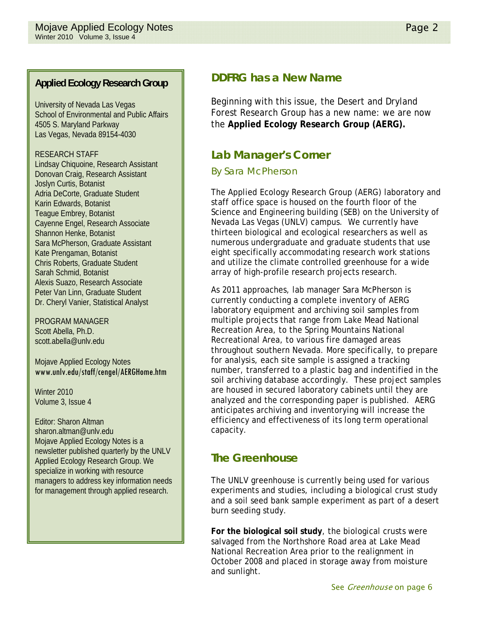University of Nevada Las Vegas School of Environmental and Public Affairs 4505 S. Maryland Parkway Las Vegas, Nevada 89154-4030

#### RESEARCH STAFF

Lindsay Chiquoine, Research Assistant Donovan Craig, Research Assistant Joslyn Curtis, Botanist Adria DeCorte, Graduate Student Karin Edwards, Botanist Teague Embrey, Botanist Cayenne Engel, Research Associate Shannon Henke, Botanist Sara McPherson, Graduate Assistant Kate Prengaman, Botanist Chris Roberts, Graduate Student Sarah Schmid, Botanist Alexis Suazo, Research Associate Peter Van Linn, Graduate Student Dr. Cheryl Vanier, Statistical Analyst

PROGRAM MANAGER Scott Abella, Ph.D. scott.abella@unlv.edu

Mojave Applied Ecology Notes www.unlv.edu/staff/cengel/AERGHome.htm

Winter 2010 Volume 3, Issue 4

Editor: Sharon Altman sharon.altman@unlv.edu Mojave Applied Ecology Notes is a newsletter published quarterly by the UNLV Applied Ecology Research Group. We specialize in working with resource managers to address key information needs for management through applied research.

## **DDFRG has a New Name**

Beginning with this issue, the Desert and Dryland Forest Research Group has a new name: we are now the **Applied Ecology Research Group (AERG).**

## **Lab Manager's Corner**

### *By Sara McPherson*

The Applied Ecology Research Group (AERG) laboratory and staff office space is housed on the fourth floor of the Science and Engineering building (SEB) on the University of Nevada Las Vegas (UNLV) campus. We currently have thirteen biological and ecological researchers as well as numerous undergraduate and graduate students that use eight specifically accommodating research work stations and utilize the climate controlled greenhouse for a wide array of high-profile research projects research.

As 2011 approaches, lab manager Sara McPherson is currently conducting a complete inventory of AERG laboratory equipment and archiving soil samples from multiple projects that range from Lake Mead National Recreation Area, to the Spring Mountains National Recreational Area, to various fire damaged areas throughout southern Nevada. More specifically, to prepare for analysis, each site sample is assigned a tracking number, transferred to a plastic bag and indentified in the soil archiving database accordingly. These project samples are housed in secured laboratory cabinets until they are analyzed and the corresponding paper is published. AERG anticipates archiving and inventorying will increase the efficiency and effectiveness of its long term operational capacity.

## **The Greenhouse**

The UNLV greenhouse is currently being used for various experiments and studies, including a biological crust study and a soil seed bank sample experiment as part of a desert burn seeding study.

**For the biological soil study**, the biological crusts were salvaged from the Northshore Road area at Lake Mead National Recreation Area prior to the realignment in October 2008 and placed in storage away from moisture and sunlight.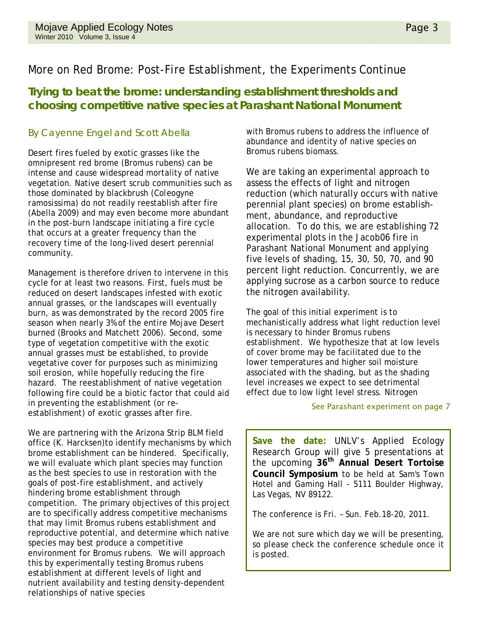# More on Red Brome: Post-Fire Establishment, the Experiments Continue

## **Trying to beat the brome: understanding establishment thresholds and choosing competitive native species at Parashant National Monument**

### By Cayenne Engel and Scott Abella

Desert fires fueled by exotic grasses like the omnipresent red brome (*Bromus rubens*) can be intense and cause widespread mortality of native vegetation. Native desert scrub communities such as those dominated by blackbrush (*Coleogyne ramosissima*) do not readily reestablish after fire (Abella 2009) and may even become more abundant in the post-burn landscape initiating a fire cycle that occurs at a greater frequency than the recovery time of the long-lived desert perennial community.

Management is therefore driven to intervene in this cycle for at least two reasons. First, fuels must be reduced on desert landscapes infested with exotic annual grasses, or the landscapes will eventually burn, as was demonstrated by the record 2005 fire season when nearly 3% of the entire Mojave Desert burned (Brooks and Matchett 2006). Second, some type of vegetation competitive with the exotic annual grasses must be established, to provide vegetative cover for purposes such as minimizing soil erosion, while hopefully reducing the fire hazard. The reestablishment of native vegetation following fire could be a biotic factor that could aid in preventing the establishment (or reestablishment) of exotic grasses after fire.

We are partnering with the Arizona Strip BLM field office (K. Harcksen)to identify mechanisms by which brome establishment can be hindered. Specifically, we will evaluate which plant species may function as the best species to use in restoration with the goals of post-fire establishment, and actively hindering brome establishment through competition. The primary objectives of this project are to specifically address competitive mechanisms that may limit *Bromus rubens* establishment and reproductive potential, and determine which native species may best produce a competitive environment for *Bromus rubens*. We will approach this by experimentally testing *Bromus rubens* establishment at different levels of light and nutrient availability and testing density-dependent relationships of native species

with *Bromus rubens* to address the influence of abundance and identity of native species on *Bromus rubens* biomass.

We are taking an experimental approach to assess the effects of light and nitrogen reduction (which naturally occurs with native perennial plant species) on brome establishment, abundance, and reproductive allocation. To do this, we are establishing 72 experimental plots in the Jacob06 fire in Parashant National Monument and applying five levels of shading, 15, 30, 50, 70, and 90 percent light reduction. Concurrently, we are applying sucrose as a carbon source to reduce the nitrogen availability.

The goal of this initial experiment is to mechanistically address what light reduction level is necessary to hinder *Bromus rubens* establishment. We hypothesize that at low levels of cover brome may be facilitated due to the lower temperatures and higher soil moisture associated with the shading, but as the shading level increases we expect to see detrimental effect due to low light level stress. Nitrogen

#### See Parashant experiment on page 7

**Save the date:** UNLV's Applied Ecology Research Group will give 5 presentations at the upcoming **36th Annual Desert Tortoise Council Symposium** to be held at Sam's Town Hotel and Gaming Hall - 5111 Boulder Highway, Las Vegas, NV 89122.

The conference is Fri. – Sun. Feb.18-20, 2011.

We are not sure which day we will be presenting, so please check the conference schedule once it is posted.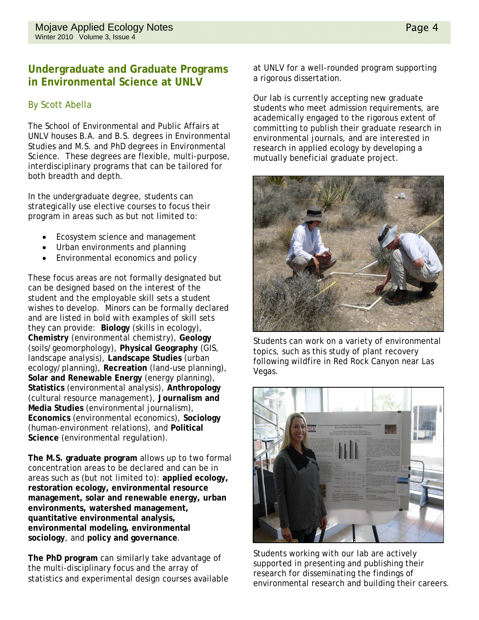### **Undergraduate and Graduate Programs in Environmental Science at UNLV**

### By Scott Abella

The School of Environmental and Public Affairs at UNLV houses B.A. and B.S. degrees in Environmental Studies and M.S. and PhD degrees in Environmental Science. These degrees are flexible, multi-purpose, interdisciplinary programs that can be tailored for both breadth and depth.

In the undergraduate degree, students can strategically use elective courses to focus their program in areas such as but not limited to:

- Ecosystem science and management
- Urban environments and planning
- Environmental economics and policy

These focus areas are not formally designated but can be designed based on the interest of the student and the employable skill sets a student wishes to develop. Minors can be formally declared and are listed in bold with examples of skill sets they can provide: **Biology** (skills in ecology), **Chemistry** (environmental chemistry), **Geology** (soils/geomorphology), **Physical Geography** (GIS, landscape analysis), **Landscape Studies** (urban ecology/planning), **Recreation** (land-use planning), **Solar and Renewable Energy** (energy planning), **Statistics** (environmental analysis), **Anthropology** (cultural resource management), **Journalism and Media Studies** (environmental journalism), **Economics** (environmental economics), **Sociology** (human-environment relations), and **Political Science** (environmental regulation).

**The M.S. graduate program** allows up to two formal concentration areas to be declared and can be in areas such as (but not limited to): **applied ecology, restoration ecology, environmental resource management, solar and renewable energy, urban environments, watershed management, quantitative environmental analysis, environmental modeling, environmental sociology**, and **policy and governance**.

**The PhD program** can similarly take advantage of the multi-disciplinary focus and the array of statistics and experimental design courses available at UNLV for a well-rounded program supporting a rigorous dissertation.

Our lab is currently accepting new graduate students who meet admission requirements, are academically engaged to the rigorous extent of committing to publish their graduate research in environmental journals, and are interested in research in applied ecology by developing a mutually beneficial graduate project.



Students can work on a variety of environmental topics, such as this study of plant recovery following wildfire in Red Rock Canyon near Las Vegas.



Students working with our lab are actively supported in presenting and publishing their research for disseminating the findings of environmental research and building their careers.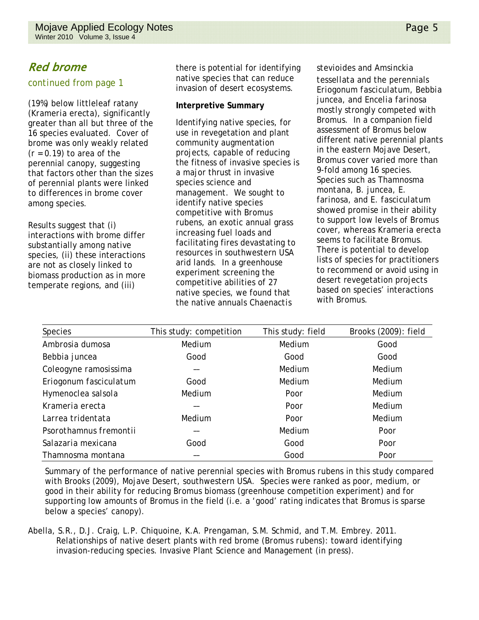# Red brome

### *continued* from page 1

(19%) below littleleaf ratany (*Krameria erecta*), significantly greater than all but three of the 16 species evaluated. Cover of brome was only weakly related (*r* = 0.19) to area of the perennial canopy, suggesting that factors other than the sizes of perennial plants were linked to differences in brome cover among species.

Results suggest that (i) interactions with brome differ substantially among native species, (ii) these interactions are not as closely linked to biomass production as in more temperate regions, and (iii)

there is potential for identifying native species that can reduce invasion of desert ecosystems.

#### **Interpretive Summary**

Identifying native species, for use in revegetation and plant community augmentation projects, capable of reducing the fitness of invasive species is a major thrust in invasive species science and management. We sought to identify native species competitive with *Bromus rubens*, an exotic annual grass increasing fuel loads and facilitating fires devastating to resources in southwestern USA arid lands. In a greenhouse experiment screening the competitive abilities of 27 native species, we found that the native annuals *Chaenactis* 

*stevioides* and *Amsinckia tessellata* and the perennials *Eriogonum fasciculatum*, *Bebbia juncea*, and *Encelia farinosa* mostly strongly competed with *Bromus*. In a companion field assessment of *Bromus* below different native perennial plants in the eastern Mojave Desert, *Bromus* cover varied more than 9-fold among 16 species. Species such as *Thamnosma montana*, *B*. *juncea*, *E*. *farinosa*, and *E*. *fasciculatum* showed promise in their ability

to support low levels of *Bromus* cover, whereas *Krameria erecta* seems to facilitate *Bromus*. There is potential to develop lists of species for practitioners to recommend or avoid using in desert revegetation projects based on species' interactions with *Bromus*.

| <b>Species</b>         | This study: competition | This study: field | Brooks (2009): field |
|------------------------|-------------------------|-------------------|----------------------|
| Ambrosia dumosa        | Medium                  | Medium            | Good                 |
| Bebbia juncea          | Good                    | Good              | Good                 |
| Coleogyne ramosissima  |                         | Medium            | Medium               |
| Eriogonum fasciculatum | Good                    | Medium            | Medium               |
| Hymenoclea salsola     | Medium                  | Poor              | Medium               |
| Krameria erecta        |                         | Poor              | Medium               |
| Larrea tridentata      | Medium                  | Poor              | Medium               |
| Psorothamnus fremontii |                         | Medium            | Poor                 |
| Salazaria mexicana     | Good                    | Good              | Poor                 |
| Thamnosma montana      |                         | Good              | Poor                 |

Summary of the performance of native perennial species with *Bromus rubens* in this study compared with Brooks (2009), Mojave Desert, southwestern USA. Species were ranked as poor, medium, or good in their ability for reducing *Bromus* biomass (greenhouse competition experiment) and for supporting low amounts of *Bromus* in the field (i.e. a 'good' rating indicates that *Bromus* is sparse below a species' canopy).

Abella, S.R., D.J. Craig, L.P. Chiquoine, K.A. Prengaman, S.M. Schmid, and T.M. Embrey. 2011. Relationships of native desert plants with red brome (*Bromus rubens*): toward identifying invasion-reducing species. Invasive Plant Science and Management (in press).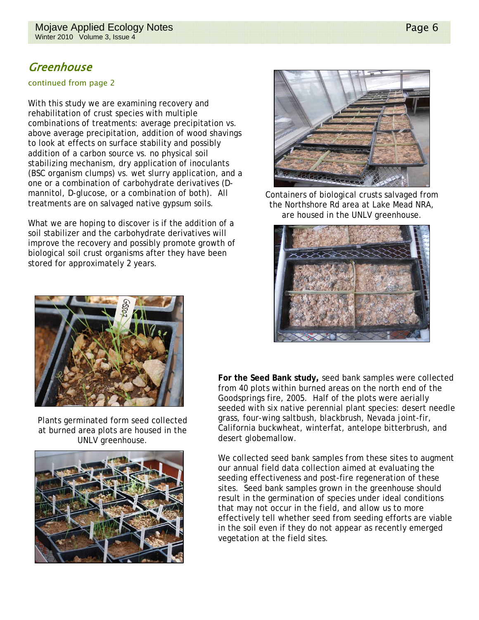# Greenhouse

#### continued from page 2

With this study we are examining recovery and rehabilitation of crust species with multiple combinations of treatments: average precipitation vs. above average precipitation, addition of wood shavings to look at effects on surface stability and possibly addition of a carbon source vs. no physical soil stabilizing mechanism, dry application of inoculants (BSC organism clumps) vs. wet slurry application, and a one or a combination of carbohydrate derivatives (Dmannitol, D-glucose, or a combination of both). All treatments are on salvaged native gypsum soils.

What we are hoping to discover is if the addition of a soil stabilizer and the carbohydrate derivatives will improve the recovery and possibly promote growth of biological soil crust organisms after they have been stored for approximately 2 years.



Containers of biological crusts salvaged from the Northshore Rd area at Lake Mead NRA, are housed in the UNLV greenhouse.





Plants germinated form seed collected at burned area plots are housed in the UNLV greenhouse.



**For the Seed Bank study,** seed bank samples were collected from 40 plots within burned areas on the north end of the Goodsprings fire, 2005. Half of the plots were aerially seeded with six native perennial plant species: desert needle grass, four-wing saltbush, blackbrush, Nevada joint-fir, California buckwheat, winterfat, antelope bitterbrush, and desert globemallow.

We collected seed bank samples from these sites to augment our annual field data collection aimed at evaluating the seeding effectiveness and post-fire regeneration of these sites. Seed bank samples grown in the greenhouse should result in the germination of species under ideal conditions that may not occur in the field, and allow us to more effectively tell whether seed from seeding efforts are viable in the soil even if they do not appear as recently emerged vegetation at the field sites.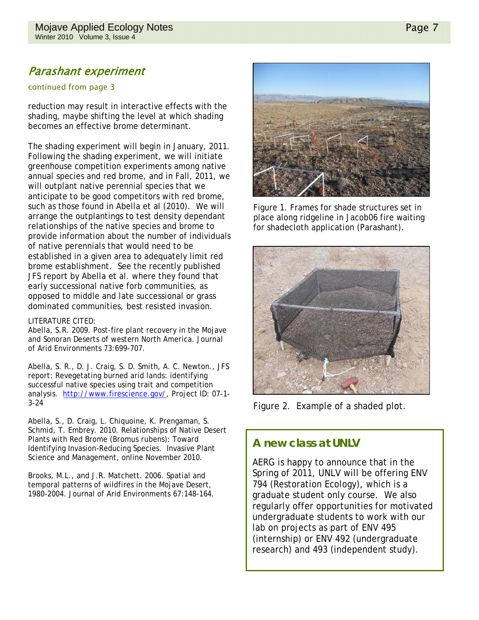# Parashant experiment

#### continued from page 3

reduction may result in interactive effects with the shading, maybe shifting the level at which shading becomes an effective brome determinant.

The shading experiment will begin in January, 2011. Following the shading experiment, we will initiate greenhouse competition experiments among native annual species and red brome, and in Fall, 2011, we will outplant native perennial species that we anticipate to be good competitors with red brome, such as those found in Abella et al (2010). We will arrange the outplantings to test density dependant relationships of the native species and brome to provide information about the number of individuals of native perennials that would need to be established in a given area to adequately limit red brome establishment. See the recently published JFS report by Abella et al. where they found that early successional native forb communities, as opposed to middle and late successional or grass dominated communities, best resisted invasion.

#### LITERATURE CITED:

Abella, S.R. 2009. Post-fire plant recovery in the Mojave and Sonoran Deserts of western North America. Journal of Arid Environments 73:699-707.

Abella, S. R., D. J. Craig, S. D. Smith, A. C. Newton., JFS report: Revegetating burned arid lands: identifying successful native species using trait and competition analysis. http://www.firescience.gov/, Project ID: 07-1- 3-24

Abella, S., D. Craig, L. Chiquoine, K. Prengaman, S. Schmid, T. Embrey. 2010. Relationships of Native Desert Plants with Red Brome (*Bromus rubens*): Toward Identifying Invasion-Reducing Species. Invasive Plant Science and Management, online November 2010.

Brooks, M.L., and J.R. Matchett. 2006. Spatial and temporal patterns of wildfires in the Mojave Desert, 1980-2004. Journal of Arid Environments 67:148-164.



Figure 1. Frames for shade structures set in place along ridgeline in Jacob06 fire waiting for shadecloth application (Parashant).



Figure 2. Example of a shaded plot.

## **A new class at UNLV**

AERG is happy to announce that in the Spring of 2011, UNLV will be offering ENV 794 (Restoration Ecology), which is a graduate student only course. We also regularly offer opportunities for motivated undergraduate students to work with our lab on projects as part of ENV 495 (internship) or ENV 492 (undergraduate research) and 493 (independent study).